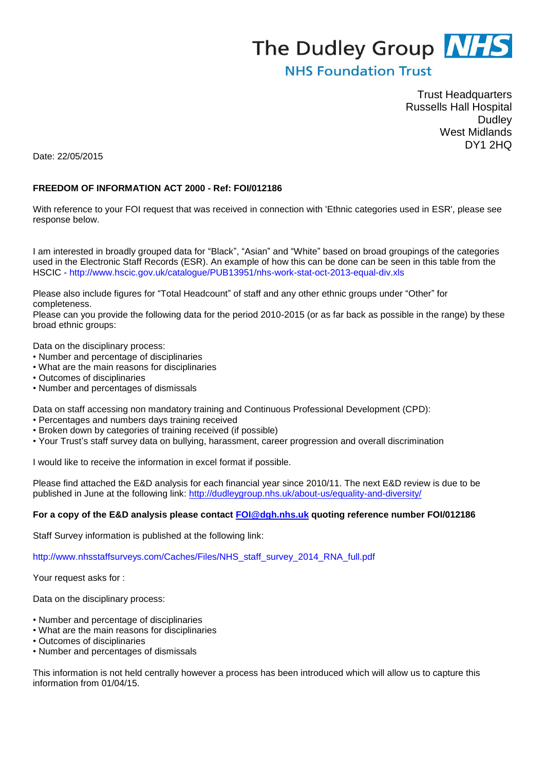# The Dudley Group NHS

## **NHS Foundation Trust**

Trust Headquarters Russells Hall Hospital **Dudley** West Midlands DY1 2HQ

Date: 22/05/2015

#### **FREEDOM OF INFORMATION ACT 2000 - Ref: FOI/012186**

With reference to your FOI request that was received in connection with 'Ethnic categories used in ESR', please see response below.

I am interested in broadly grouped data for "Black", "Asian" and "White" based on broad groupings of the categories used in the Electronic Staff Records (ESR). An example of how this can be done can be seen in this table from the HSCIC - http://www.hscic.gov.uk/catalogue/PUB13951/nhs-work-stat-oct-2013-equal-div.xls

Please also include figures for "Total Headcount" of staff and any other ethnic groups under "Other" for completeness.

Please can you provide the following data for the period 2010-2015 (or as far back as possible in the range) by these broad ethnic groups:

Data on the disciplinary process:

- Number and percentage of disciplinaries
- What are the main reasons for disciplinaries
- Outcomes of disciplinaries
- Number and percentages of dismissals

Data on staff accessing non mandatory training and Continuous Professional Development (CPD):

- Percentages and numbers days training received
- Broken down by categories of training received (if possible)
- Your Trust's staff survey data on bullying, harassment, career progression and overall discrimination

I would like to receive the information in excel format if possible.

Please find attached the E&D analysis for each financial year since 2010/11. The next E&D review is due to be published in June at the following link:<http://dudleygroup.nhs.uk/about-us/equality-and-diversity/>

#### **For a copy of the E&D analysis please contact [FOI@dgh.nhs.uk](mailto:FOI@dgh.nhs.uk) quoting reference number FOI/012186**

Staff Survey information is published at the following link:

http://www.nhsstaffsurveys.com/Caches/Files/NHS\_staff\_survey\_2014\_RNA\_full.pdf

Your request asks for :

Data on the disciplinary process:

- Number and percentage of disciplinaries
- What are the main reasons for disciplinaries
- Outcomes of disciplinaries
- Number and percentages of dismissals

This information is not held centrally however a process has been introduced which will allow us to capture this information from 01/04/15.